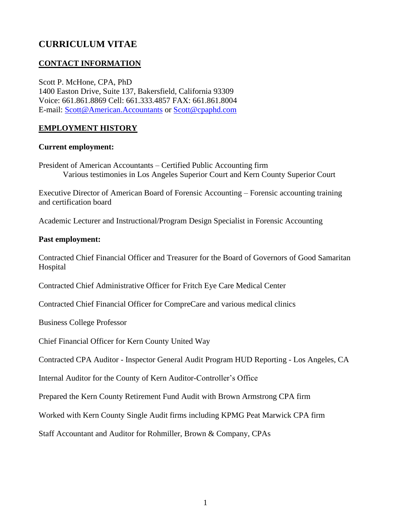# **CURRICULUM VITAE**

## **CONTACT INFORMATION**

Scott P. McHone, CPA, PhD 1400 Easton Drive, Suite 137, Bakersfield, California 93309 Voice: 661.861.8869 Cell: 661.333.4857 FAX: 661.861.8004 E-mail: [Scott@American.Accountants](mailto:Scott@American.Accountants) or [Scott@cpaphd.com](mailto:Scott@cpaphd.com)

## **EMPLOYMENT HISTORY**

#### **Current employment:**

President of American Accountants – Certified Public Accounting firm Various testimonies in Los Angeles Superior Court and Kern County Superior Court

Executive Director of American Board of Forensic Accounting – Forensic accounting training and certification board

Academic Lecturer and Instructional/Program Design Specialist in Forensic Accounting

#### **Past employment:**

Contracted Chief Financial Officer and Treasurer for the Board of Governors of Good Samaritan Hospital

Contracted Chief Administrative Officer for Fritch Eye Care Medical Center

Contracted Chief Financial Officer for CompreCare and various medical clinics

Business College Professor

Chief Financial Officer for Kern County United Way

Contracted CPA Auditor - Inspector General Audit Program HUD Reporting - Los Angeles, CA

Internal Auditor for the County of Kern Auditor-Controller's Office

Prepared the Kern County Retirement Fund Audit with Brown Armstrong CPA firm

Worked with Kern County Single Audit firms including KPMG Peat Marwick CPA firm

Staff Accountant and Auditor for Rohmiller, Brown & Company, CPAs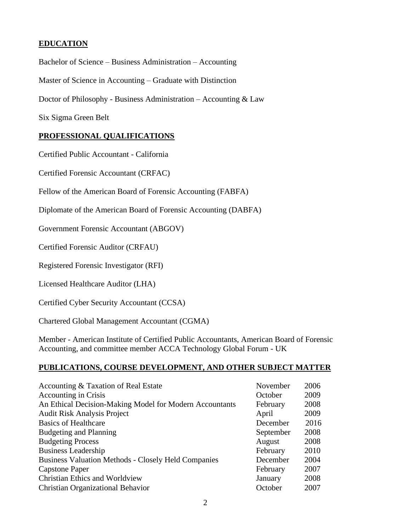#### **EDUCATION**

Bachelor of Science – Business Administration – Accounting

Master of Science in Accounting – Graduate with Distinction

Doctor of Philosophy - Business Administration – Accounting & Law

Six Sigma Green Belt

#### **PROFESSIONAL QUALIFICATIONS**

Certified Public Accountant - California

Certified Forensic Accountant (CRFAC)

Fellow of the American Board of Forensic Accounting (FABFA)

Diplomate of the American Board of Forensic Accounting (DABFA)

Government Forensic Accountant (ABGOV)

Certified Forensic Auditor (CRFAU)

Registered Forensic Investigator (RFI)

Licensed Healthcare Auditor (LHA)

Certified Cyber Security Accountant (CCSA)

Chartered Global Management Accountant (CGMA)

Member - American Institute of Certified Public Accountants, American Board of Forensic Accounting, and committee member ACCA Technology Global Forum - UK

#### **PUBLICATIONS, COURSE DEVELOPMENT, AND OTHER SUBJECT MATTER**

| Accounting & Taxation of Real Estate                       | November  | 2006 |
|------------------------------------------------------------|-----------|------|
| <b>Accounting in Crisis</b>                                | October   | 2009 |
| An Ethical Decision-Making Model for Modern Accountants    | February  | 2008 |
| <b>Audit Risk Analysis Project</b>                         | April     | 2009 |
| <b>Basics of Healthcare</b>                                | December  | 2016 |
| <b>Budgeting and Planning</b>                              | September | 2008 |
| <b>Budgeting Process</b>                                   | August    | 2008 |
| <b>Business Leadership</b>                                 | February  | 2010 |
| <b>Business Valuation Methods - Closely Held Companies</b> | December  | 2004 |
| Capstone Paper                                             | February  | 2007 |
| <b>Christian Ethics and Worldview</b>                      | January   | 2008 |
| <b>Christian Organizational Behavior</b>                   | October   | 2007 |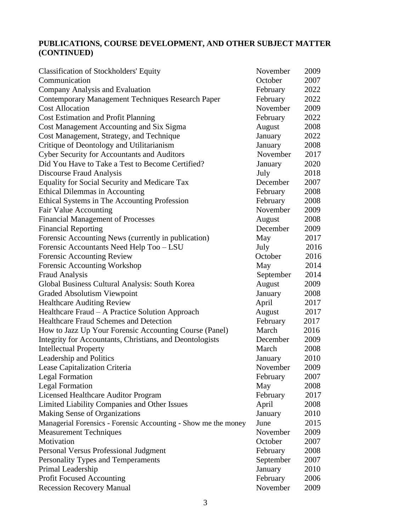# **PUBLICATIONS, COURSE DEVELOPMENT, AND OTHER SUBJECT MATTER (CONTINUED)**

| Classification of Stockholders' Equity                         | November  | 2009 |
|----------------------------------------------------------------|-----------|------|
| Communication                                                  | October   | 2007 |
| Company Analysis and Evaluation                                | February  | 2022 |
| <b>Contemporary Management Techniques Research Paper</b>       | February  | 2022 |
| <b>Cost Allocation</b>                                         | November  | 2009 |
| <b>Cost Estimation and Profit Planning</b>                     | February  | 2022 |
| Cost Management Accounting and Six Sigma                       | August    | 2008 |
| Cost Management, Strategy, and Technique                       | January   | 2022 |
| Critique of Deontology and Utilitarianism                      | January   | 2008 |
| <b>Cyber Security for Accountants and Auditors</b>             | November  | 2017 |
| Did You Have to Take a Test to Become Certified?               | January   | 2020 |
| <b>Discourse Fraud Analysis</b>                                | July      | 2018 |
| Equality for Social Security and Medicare Tax                  | December  | 2007 |
| <b>Ethical Dilemmas in Accounting</b>                          | February  | 2008 |
| Ethical Systems in The Accounting Profession                   | February  | 2008 |
| Fair Value Accounting                                          | November  | 2009 |
| <b>Financial Management of Processes</b>                       | August    | 2008 |
| <b>Financial Reporting</b>                                     | December  | 2009 |
| Forensic Accounting News (currently in publication)            | May       | 2017 |
| Forensic Accountants Need Help Too - LSU                       | July      | 2016 |
| Forensic Accounting Review                                     | October   | 2016 |
| Forensic Accounting Workshop                                   | May       | 2014 |
| <b>Fraud Analysis</b>                                          | September | 2014 |
| Global Business Cultural Analysis: South Korea                 | August    | 2009 |
| <b>Graded Absolutism Viewpoint</b>                             | January   | 2008 |
| <b>Healthcare Auditing Review</b>                              | April     | 2017 |
| Healthcare Fraud - A Practice Solution Approach                | August    | 2017 |
| <b>Healthcare Fraud Schemes and Detection</b>                  | February  | 2017 |
| How to Jazz Up Your Forensic Accounting Course (Panel)         | March     | 2016 |
| Integrity for Accountants, Christians, and Deontologists       | December  | 2009 |
| <b>Intellectual Property</b>                                   | March     | 2008 |
| Leadership and Politics                                        | January   | 2010 |
| Lease Capitalization Criteria                                  | November  | 2009 |
| <b>Legal Formation</b>                                         | February  | 2007 |
| <b>Legal Formation</b>                                         | May       | 2008 |
| Licensed Healthcare Auditor Program                            | February  | 2017 |
| Limited Liability Companies and Other Issues                   | April     | 2008 |
| Making Sense of Organizations                                  | January   | 2010 |
| Managerial Forensics - Forensic Accounting - Show me the money | June      | 2015 |
| <b>Measurement Techniques</b>                                  | November  | 2009 |
| Motivation                                                     | October   | 2007 |
| Personal Versus Professional Judgment                          | February  | 2008 |
| Personality Types and Temperaments                             | September | 2007 |
| Primal Leadership                                              | January   | 2010 |
| <b>Profit Focused Accounting</b>                               | February  | 2006 |
| <b>Recession Recovery Manual</b>                               | November  | 2009 |
|                                                                |           |      |